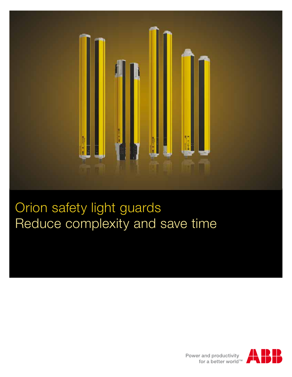

# Orion safety light guards Reduce complexity and save time



Power and productivity for a better world™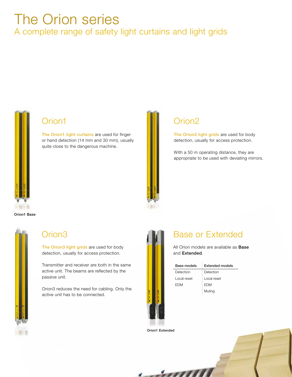## The Orion series A complete range of safety light curtains and light grids



The Orion1 light curtains are used for finger or hand detection (14 mm and 30 mm), usually quite close to the dangerous machine.



The Orion2 light grids are used for body detection, usually for access protection.

With a 50 m operating distance, they are appropriate to be used with deviating mirrors.

Orion1 Base



The Orion3 light grids are used for body detection, usually for access protection.

Transmitter and receiver are both in the same active unit. The beams are reflected by the passive unit.

Orion3 reduces the need for cabling. Only the active unit has to be connected.



### Orion3 **Base or Extended**

All Orion models are available as **Base** and Extended.

| Base models | Extended models |
|-------------|-----------------|
| Detection   | Detection       |
| Local reset | Local reset     |
| <b>FDM</b>  | <b>FDM</b>      |
|             | Muting          |

Orion1 Extended

 $1 - 27777777$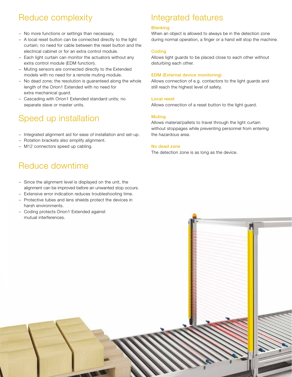### Reduce complexity

- − No more functions or settings than necessary.
- − A local reset button can be connected directly to the light curtain; no need for cable between the reset button and the electrical cabinet or for an extra control module.
- − Each light curtain can monitor the actuators without any extra control module (EDM function).
- − Muting sensors are connected directly to the Extended models with no need for a remote muting module.
- − No dead zone; the resolution is guaranteed along the whole length of the Orion1 Extended with no need for extra mechanical guard.
- − Cascading with Orion1 Extended standard units; no separate slave or master units.

### Speed up installation

- − Integrated alignment aid for ease of installation and set-up.
- − Rotation brackets also simplify alignment.
- − M12 connectors speed up cabling.

### Reduce downtime

- − Since the alignment level is displayed on the unit, the alignment can be improved before an unwanted stop occurs.
- − Extensive error indication reduces troubleshooting time.
- − Protective tubes and lens shields protect the devices in harsh environments.
- − Coding protects Orion1 Extended against mutual interferences.

### Integrated features

#### Blanking

When an object is allowed to always be in the detection zone during normal operation, a finger or a hand will stop the machine.

#### **Coding**

Allows light guards to be placed close to each other without disturbing each other.

#### EDM (External device monitoring)

Allows connection of e.g. contactors to the light guards and still reach the highest level of safety.

#### Local reset

Allows connection of a reset button to the light guard.

#### Muting

Allows material/pallets to travel through the light curtain without stoppages while preventing personnel from entering the hazardous area.

#### No dead zone

The detection zone is as long as the device.

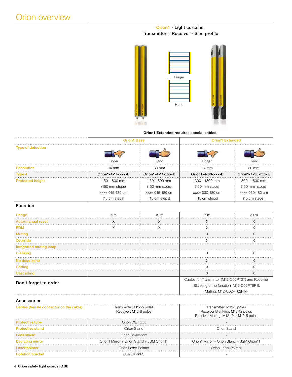### Orion overview



#### Orion1 Extended requires special cables.

|                         | <b>Orion1 Base</b>   |                                  | <b>Orion1 Extended</b> |                      |
|-------------------------|----------------------|----------------------------------|------------------------|----------------------|
| Type of detection       | Finger               | Hand                             | Finger<br>Hand         |                      |
| <b>Resolution</b>       | $14 \text{ mm}$      | $30 \text{ mm}$                  | $14 \text{ mm}$        | $30 \text{ mm}$      |
| Type 4                  | $Oron1-4-14-xxx-B$   | $Oron1-4-14-xxx-B$               | $Oron1-4-30-xxx-F$     | Orion1-4-30-xxx-E    |
| <b>Protected height</b> | 150 -1800 mm         | 150 -1800 mm                     | 300 - 1800 mm          | $300 - 1800$ mm      |
|                         | (150 mm steps)       | (150 mm steps)<br>(150 mm steps) |                        | (150 mm steps)       |
|                         | $xxx = 015 - 180$ cm | $xxx = 015 - 180$ cm             | $xxx = 030 - 180$ cm   | $xxx = 030 - 180$ cm |
|                         | (15 cm steps)        | (15 cm steps)                    | (15 cm steps)          | (15 cm steps)        |

### Function

| Range                  | հ m | 19 m | 7 m                                               | 20 m |  |
|------------------------|-----|------|---------------------------------------------------|------|--|
| Auto/manual reset      |     |      |                                                   |      |  |
| EDN                    |     |      |                                                   |      |  |
| Mutino                 |     |      |                                                   |      |  |
|                        |     |      |                                                   |      |  |
| Integrated muting lamp |     |      |                                                   |      |  |
| <b>Blanking</b>        |     |      |                                                   |      |  |
| No dead zone           |     |      |                                                   |      |  |
| Codinc                 |     |      |                                                   |      |  |
| Cascading              |     |      |                                                   |      |  |
|                        |     |      | Cables for Transmitter (M12-C02PT2T) and Receiver |      |  |
| Don't forget to order  |     |      | (Blanking or no function: M12-C02PT6RB,           |      |  |
|                        |     |      | Muting: M12-C02PT62RM                             |      |  |

#### Accessories

| Cables (female connector on the cable) | Transmitter: M12-5 poles<br>Receiver: M12-8 poles | Transmitter: M12-5 poles<br>Receiver Blanking: M12-12 poles<br>Receiver Muting: M12-12 + M12-5 poles |
|----------------------------------------|---------------------------------------------------|------------------------------------------------------------------------------------------------------|
| <b>Protective tube</b>                 | Orion WFT xxx                                     |                                                                                                      |
| <b>Protective stand</b>                | Orion Stand                                       | Orion Stand                                                                                          |
| l ens shield                           | Orion Shield-xxx                                  |                                                                                                      |
| <b>Deviating mirror</b>                | Orion1 Mirror + Orion Stand + JSM Orion11         | Orion1 Mirror + Orion Stand + JSM Orion11                                                            |
| Laser pointer                          | Orion Laser Pointer                               | Orion Laser Pointer                                                                                  |
|                                        | JSM Orion03                                       |                                                                                                      |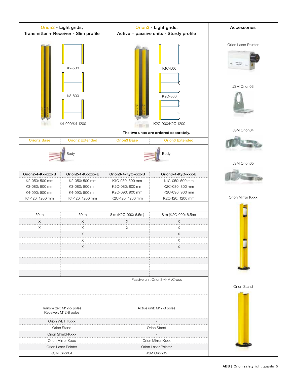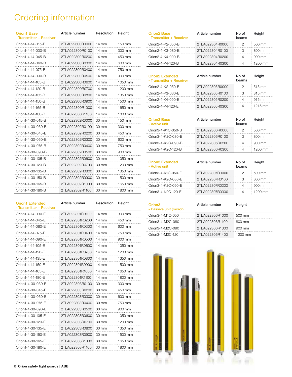## Ordering information

| <b>Orion1 Base</b><br><b>Transmitter + Receiver</b> | Article number  | Resolution      | Height  |
|-----------------------------------------------------|-----------------|-----------------|---------|
| Orion1-4-14-015-B                                   | 2TLA022300R0000 | $14 \text{ mm}$ | 150 mm  |
| Orion1-4-14-030-B                                   | 2TLA022300R0100 | 14 mm           | 300 mm  |
| Orion1-4-14-045-B                                   | 2TLA022300R0200 | $14 \text{ mm}$ | 450 mm  |
| Orion1-4-14-060-B                                   | 2TLA022300R0300 | 14 mm           | 600 mm  |
| Orion1-4-14-075-B                                   | 2TLA022300R0400 | $14 \text{ mm}$ | 750 mm  |
| Orion1-4-14-090-B                                   | 2TLA022300R0500 | $14 \text{ mm}$ | 900 mm  |
| Orion1-4-14-105-B                                   | 2TLA022300R0600 | $14 \text{ mm}$ | 1050 mm |
| Orion1-4-14-120-B                                   | 2TLA022300R0700 | 14 mm           | 1200 mm |
| Orion1-4-14-135-B                                   | 2TLA022300R0800 | 14 mm           | 1350 mm |
| Orion1-4-14-150-B                                   | 2TLA022300R0900 | $14 \text{ mm}$ | 1500 mm |
| Orion1-4-14-165-B                                   | 2TLA022300R1000 | 14 mm           | 1650 mm |
| Orion1-4-14-180-B                                   | 2TLA022300R1100 | $14 \text{ mm}$ | 1800 mm |
| Orion1-4-30-015-B                                   | 2TLA022302R0000 | 30 mm           | 150 mm  |
| Orion1-4-30-030-B                                   | 2TLA022302R0100 | 30 mm           | 300 mm  |
| Orion1-4-30-045-B                                   | 2TLA022302R0200 | 30 mm           | 450 mm  |
| Orion1-4-30-060-B                                   | 2TLA022302R0300 | $30 \text{ mm}$ | 600 mm  |
| Orion1-4-30-075-B                                   | 2TLA022302R0400 | 30 mm           | 750 mm  |
| Orion1-4-30-090-B                                   | 2TLA022302R0500 | 30 mm           | 900 mm  |
| Orion1-4-30-105-B                                   | 2TLA022302R0600 | 30 mm           | 1050 mm |
| Orion1-4-30-120-B                                   | 2TLA022302R0700 | 30 mm           | 1200 mm |
| Orion1-4-30-135-B                                   | 2TLA022302R0800 | 30 mm           | 1350 mm |
| Orion1-4-30-150-B                                   | 2TLA022302R0900 | 30 mm           | 1500 mm |
| Orion1-4-30-165-B                                   | 2TLA022302R1000 | 30 mm           | 1650 mm |
| Orion1-4-30-180-B                                   | 2TLA022302R1100 | 30 mm           | 1800 mm |

| <b>Orion1 Extended</b><br>- Transmitter + Receiver | Article number  | Resolution      | Height  |
|----------------------------------------------------|-----------------|-----------------|---------|
| Orion1-4-14-030-E                                  | 2TLA022301R0100 | $14 \text{ mm}$ | 300 mm  |
| Orion1-4-14-045-E                                  | 2TLA022301R0200 | 14 mm           | 450 mm  |
| Orion1-4-14-060-E                                  | 2TLA022301R0300 | $14 \text{ mm}$ | 600 mm  |
| Orion1-4-14-075-E                                  | 2TLA022301R0400 | $14 \text{ mm}$ | 750 mm  |
| Orion1-4-14-090-E                                  | 2TLA022301R0500 | 14 mm           | 900 mm  |
| Orion1-4-14-105-E                                  | 2TLA022301R0600 | 14 mm           | 1050 mm |
| Orion1-4-14-120-E                                  | 2TLA022301R0700 | $14 \text{ mm}$ | 1200 mm |
| Orion1-4-14-135-E                                  | 2TLA022301R0800 | $14 \text{ mm}$ | 1350 mm |
| Orion1-4-14-150-E                                  | 2TLA022301R0900 | 14 mm           | 1500 mm |
| Orion1-4-14-165-E                                  | 2TLA022301R1000 | 14 mm           | 1650 mm |
| Orion1-4-14-180-E                                  | 2TLA022301R1100 | $14 \text{ mm}$ | 1800 mm |
| Orion1-4-30-030-E                                  | 2TLA022303R0100 | 30 mm           | 300 mm  |
| Orion1-4-30-045-E                                  | 2TLA022303R0200 | 30 mm           | 450 mm  |
| Orion1-4-30-060-E                                  | 2TLA022303R0300 | 30 mm           | 600 mm  |
| Orion1-4-30-075-E                                  | 2TLA022303R0400 | 30 mm           | 750 mm  |
| Orion1-4-30-090-E                                  | 2TLA022303R0500 | 30 mm           | 900 mm  |
| Orion1-4-30-105-E                                  | 2TLA022303R0600 | 30 mm           | 1050 mm |
| Orion1-4-30-120-E                                  | 2TLA022303R0700 | 30 mm           | 1200 mm |
| Orion1-4-30-135-E                                  | 2TLA022303R0800 | 30 mm           | 1350 mm |
| Orion1-4-30-150-E                                  | 2TLA022303R0900 | 30 mm           | 1500 mm |
| Orion1-4-30-165-E                                  | 2TLA022303R1000 | 30 mm           | 1650 mm |
| Orion1-4-30-180-E                                  | 2TLA022303R1100 | 30 mm           | 1800 mm |

| <b>Orion2 Base</b><br>- Transmitter + Receiver     | Article number  | No of<br>beams | Height           |
|----------------------------------------------------|-----------------|----------------|------------------|
| Orion2-4-K2-050-B                                  | 2TLA022304R0000 | 2              | $500 \text{ mm}$ |
| Orion2-4-K3-080-B                                  | 2TLA022304R0100 | 3              | 800 mm           |
| Orion2-4-K4-090-B                                  | 2TLA022304R0200 | 4              | $900 \text{ mm}$ |
| Orion2-4-K4-120-B                                  | 2TLA022304R0300 | 4              | 1200 mm          |
| <b>Orion2 Extended</b><br>- Transmitter + Receiver | Article number  | No of<br>beams | Height           |
| Orion2-4-K2-050-E                                  | 2TLA022305R0000 | 2              | 515 mm           |
| Orion2-4-K3-080-F                                  | 2TLA022305R0100 | 3              | 815 mm           |
| Orion2-4-K4-090-E                                  | 2TLA022305R0200 | 4              | $915 \text{ mm}$ |
| Orion2-4-K4-120-E                                  | 2TLA022305R0300 | 4              | 1215 mm          |
| <b>Orion3 Base</b><br>- Active unit                | Article number  | No of<br>beams | Height           |
| Orion3-4-K1C-050-B                                 | 2TLA022306R0000 | 2              | 500 mm           |

| OdanO Eutonalad    | ممطمعينهم مامنامه | $N = 6$ | ∔ط∝نم ⊔ |
|--------------------|-------------------|---------|---------|
| Orion3-4-K2C-120-B | 2TLA022306R0300   |         | 1200 mm |
| Orion3-4-K2C-090-B | 2TLA022306R0200   |         | 900 mm  |
| Orion3-4-K2C-080-B | 2TLA022306R0100   |         | 800 mm  |

| <b>Orion3 Extended</b><br>- Active unit | Article number  | No of<br>beams | Height            |
|-----------------------------------------|-----------------|----------------|-------------------|
| Orion3-4-K1C-050-E                      | 2TLA022307R0000 |                | $500 \text{ mm}$  |
| Orion3-4-K2C-080-E                      | 2TLA022307R0100 |                | 800 mm            |
| Orion3-4-K2C-090-E                      | 2TLA022307R0200 |                | $900 \text{ mm}$  |
| Orion3-4-K2C-120-E                      | 2TLA022307R0300 |                | $1200 \text{ mm}$ |

| Orion <sub>3</sub><br>- Passive unit (mirror) | Article number  | Height            |
|-----------------------------------------------|-----------------|-------------------|
| Orion3-4-M1C-050                              | 2TLA022306R1000 | $500 \text{ mm}$  |
| Orion3-4-M2C-080                              | 2TLA022306R1100 | 800 mm            |
| Orion3-4-M2C-090                              | 2TLA022306R1300 | $900 \text{ mm}$  |
| Orion3-4-M2C-120                              | 2TLA022306R1400 | $1200 \text{ mm}$ |

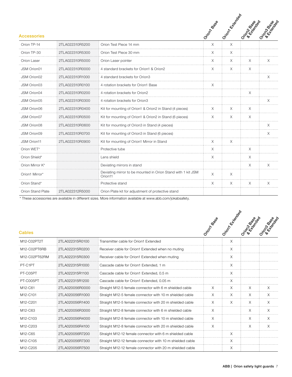| <b>Accessories</b> |                 |                                                                         | I Only River | I Orion Kitton Boo | Orional Reason | Oriona Base |
|--------------------|-----------------|-------------------------------------------------------------------------|--------------|--------------------|----------------|-------------|
| Orion TP-14        | 2TLA022310R5200 | Orion Test Piece 14 mm                                                  | $\times$     | $\times$           |                |             |
| Orion TP-30        | 2TLA022310R5300 | Orion Test Piece 30 mm                                                  | $\times$     | X                  |                |             |
| Orion Laser        | 2TLA022310R5000 | Orion Laser pointer                                                     | $\times$     | X                  | $\times$       | X           |
| JSM Orion01        | 2TLA022310R0000 | 4 standard brackets for Orion1 & Orion2                                 | $\times$     | $\times$           | $\times$       |             |
| <b>JSM Orion02</b> | 2TLA022310R1000 | 4 standard brackets for Orion3                                          |              |                    |                | X           |
| <b>JSM Orion03</b> | 2TLA022310R0100 | 4 rotation brackets for Orion1 Base                                     | X            |                    |                |             |
| JSM Orion04        | 2TLA022310R0200 | 4 rotation brackets for Orion2                                          |              |                    | X              |             |
| <b>JSM Orion05</b> | 2TLA022310R0300 | 4 rotation brackets for Orion3                                          |              |                    |                | X           |
| <b>JSM Orion06</b> | 2TLA022310R0400 | Kit for mounting of Orion1 & Orion2 in Stand (4 pieces)                 | X            | X                  | X              |             |
| JSM Orion07        | 2TLA022310R0500 | Kit for mounting of Orion1 & Orion2 in Stand (6 pieces)                 | X            | X                  | $\times$       |             |
| <b>JSM Orion08</b> | 2TLA022310R0600 | Kit for mounting of Orion3 in Stand (4 pieces)                          |              |                    |                | X           |
| JSM Orion09        | 2TLA022310R0700 | Kit for mounting of Orion3 in Stand (6 pieces)                          |              |                    |                | X           |
| <b>JSM Orion11</b> | 2TLA022310R0900 | Kit for mounting of Orion1 Mirror in Stand                              | X            | X                  |                |             |
| Orion WET*         |                 | Protective tube                                                         | X            |                    | X              |             |
| Orion Shield*      |                 | Lens shield                                                             | X            |                    | X              |             |
| Orion Mirror K*    |                 | Deviating mirrors in stand                                              |              |                    | $\times$       | $\times$    |
| Orion1 Mirror*     |                 | Deviating mirror to be mounted in Orion Stand with 1 kit JSM<br>Orion11 | $\times$     | $\times$           |                |             |
| Orion Stand*       |                 | Protective stand                                                        | $\times$     | X                  | X              | $\times$    |
| Orion Stand Plate  | 2TLA022312R5000 | Orion Plate kit for adjustment of protective stand                      |              |                    |                |             |

\* These accessories are available in different sizes. More information available at www.abb.com/jokabsafety.

| <b>Cables</b>                     |                 |                                                           | Orion Rasse | OrionARIADORO | Orional Registração | Orional Base |
|-----------------------------------|-----------------|-----------------------------------------------------------|-------------|---------------|---------------------|--------------|
| M12-C02PT2T                       | 2TLA022315R0100 | Transmitter cable for Orion1 Extended                     |             | $\times$      |                     |              |
| M12-C02PT6RB                      | 2TLA022315R0200 | Receiver cable for Orion1 Extended when no muting         |             | X             |                     |              |
| M12-C02PT62RM                     | 2TLA022315R0300 | Receiver cable for Orion1 Extended when muting            |             | $\times$      |                     |              |
| PT-C1PT                           | 2TLA022315R1000 | Cascade cable for Orion1 Extended, 1 m                    |             | X             |                     |              |
| PT-C05PT                          | 2TLA022315R1100 | Cascade cable for Orion1 Extended, 0.5 m                  |             | X             |                     |              |
| PT-C005PT                         | 2TLA022315R1200 | Cascade cable for Orion1 Extended, 0.05 m                 |             | X             |                     |              |
| M <sub>12</sub> -C <sub>61</sub>  | 2TLA020056R0000 | Straight M12-5 female connector with 6 m shielded cable   | $\times$    | X             | X                   | X            |
| M12-C101                          | 2TLA020056R1000 | Straight M12-5 female connector with 10 m shielded cable  | $\times$    | X             | X                   | X            |
| M12-C201                          | 2TLA020056R1400 | Straight M12-5 female connector with 20 m shielded cable  | X           | X             | X                   | X            |
| M12-C63                           | 2TLA020056R3000 | Straight M12-8 female connector with 6 m shielded cable   | X           |               | X                   | X            |
| M <sub>12</sub> -C <sub>103</sub> | 2TLA020056R4000 | Straight M12-8 female connector with 10 m shielded cable  | X           |               | X                   | X            |
| M12-C203                          | 2TLA020056R4100 | Straight M12-8 female connector with 20 m shielded cable  | Χ           |               | X                   | X            |
| M12-C65                           | 2TLA020056R7200 | Straight M12-12 female connector with 6 m shielded cable  |             | X             |                     |              |
| M12-C105                          | 2TLA020056R7300 | Straight M12-12 female connector with 10 m shielded cable |             | X             |                     |              |
| M12-C205                          | 2TLA020056R7500 | Straight M12-12 female connector with 20 m shielded cable |             | X             |                     |              |